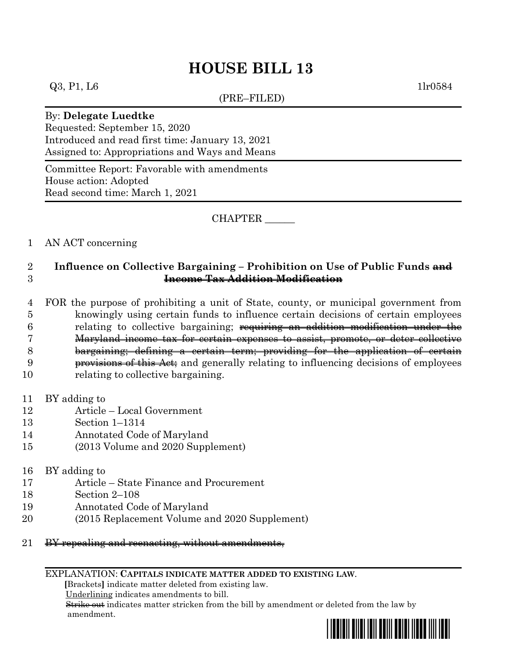# **HOUSE BILL 13**

 $Q3, P1, L6$  1lr0584

(PRE–FILED)

#### By: **Delegate Luedtke**

Requested: September 15, 2020 Introduced and read first time: January 13, 2021 Assigned to: Appropriations and Ways and Means

Committee Report: Favorable with amendments House action: Adopted Read second time: March 1, 2021

CHAPTER \_\_\_\_\_\_

### 1 AN ACT concerning

## 2 **Influence on Collective Bargaining – Prohibition on Use of Public Funds and**  3 **Income Tax Addition Modification**

 FOR the purpose of prohibiting a unit of State, county, or municipal government from knowingly using certain funds to influence certain decisions of certain employees relating to collective bargaining; requiring an addition modification under the Maryland income tax for certain expenses to assist, promote, or deter collective bargaining; defining a certain term; providing for the application of certain provisions of this Act; and generally relating to influencing decisions of employees relating to collective bargaining.

- 11 BY adding to
- 12 Article Local Government
- 13 Section 1–1314
- 14 Annotated Code of Maryland
- 15 (2013 Volume and 2020 Supplement)
- 16 BY adding to
- 17 Article State Finance and Procurement
- 18 Section 2–108
- 19 Annotated Code of Maryland
- 20 (2015 Replacement Volume and 2020 Supplement)
- 21 BY repealing and reenacting, without amendments,

#### EXPLANATION: **CAPITALS INDICATE MATTER ADDED TO EXISTING LAW**.

 **[**Brackets**]** indicate matter deleted from existing law.

Underlining indicates amendments to bill.

 Strike out indicates matter stricken from the bill by amendment or deleted from the law by amendment.

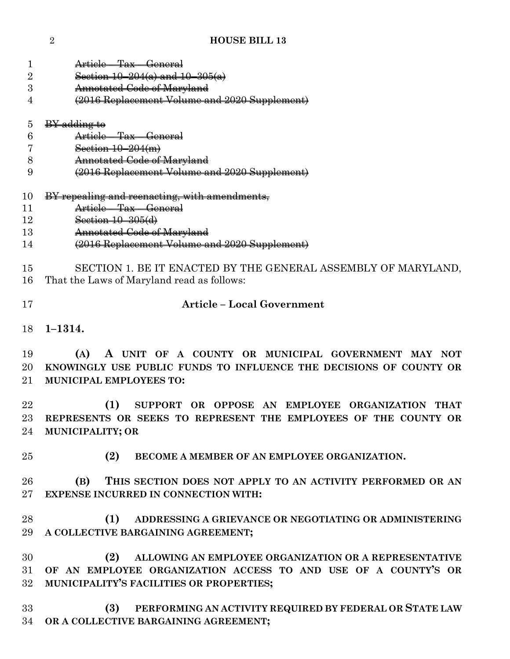| 1              | Article – Tax – General                                                                    |
|----------------|--------------------------------------------------------------------------------------------|
| $\overline{2}$ | Section $10-204(a)$ and $10-305(a)$                                                        |
| 3              | <b>Annotated Code of Maryland</b>                                                          |
| 4              | (2016 Replacement Volume and 2020 Supplement)                                              |
| 5              | BY adding to                                                                               |
| 6              | Article - Tax - General                                                                    |
| 7              | Section $10-204(m)$                                                                        |
| 8              | <b>Annotated Code of Maryland</b>                                                          |
| 9              | (2016 Replacement Volume and 2020 Supplement)                                              |
| 10             | BY repealing and reenacting, with amendments,                                              |
| 11             | Article Tax General                                                                        |
| 12             | Section $10 - 305$ (d)                                                                     |
| 13             | Annotated Code of Maryland                                                                 |
| 14             | (2016 Replacement Volume and 2020 Supplement)                                              |
| 15             | SECTION 1. BE IT ENACTED BY THE GENERAL ASSEMBLY OF MARYLAND,                              |
| 16             | That the Laws of Maryland read as follows:                                                 |
| 17             | <b>Article - Local Government</b>                                                          |
| 18             | $1 - 1314.$                                                                                |
| 19             | A UNIT OF A COUNTY OR MUNICIPAL GOVERNMENT MAY NOT<br>(A)                                  |
| 20             | KNOWINGLY USE PUBLIC FUNDS TO INFLUENCE THE DECISIONS OF COUNTY OR                         |
|                |                                                                                            |
| 21             | <b>MUNICIPAL EMPLOYEES TO:</b>                                                             |
| 22             |                                                                                            |
|                | (1)<br>SUPPORT OR OPPOSE AN EMPLOYEE ORGANIZATION THAT                                     |
| 23<br>24       | REPRESENTS OR SEEKS TO REPRESENT THE EMPLOYEES OF THE COUNTY OR<br><b>MUNICIPALITY; OR</b> |
| 25             | (2)<br>BECOME A MEMBER OF AN EMPLOYEE ORGANIZATION.                                        |
|                |                                                                                            |
| 26             | (B)<br>THIS SECTION DOES NOT APPLY TO AN ACTIVITY PERFORMED OR AN                          |
| 27             | <b>EXPENSE INCURRED IN CONNECTION WITH:</b>                                                |
| 28             | (1)<br>ADDRESSING A GRIEVANCE OR NEGOTIATING OR ADMINISTERING                              |
| 29             |                                                                                            |
|                | A COLLECTIVE BARGAINING AGREEMENT;                                                         |
| 30             | ALLOWING AN EMPLOYEE ORGANIZATION OR A REPRESENTATIVE<br>(2)                               |
| 31             | OF AN EMPLOYEE ORGANIZATION ACCESS TO AND USE OF A COUNTY'S OR                             |
| 32             | MUNICIPALITY'S FACILITIES OR PROPERTIES;                                                   |
|                |                                                                                            |
| 33             | PERFORMING AN ACTIVITY REQUIRED BY FEDERAL OR STATE LAW<br>(3)                             |
| 34             | OR A COLLECTIVE BARGAINING AGREEMENT;                                                      |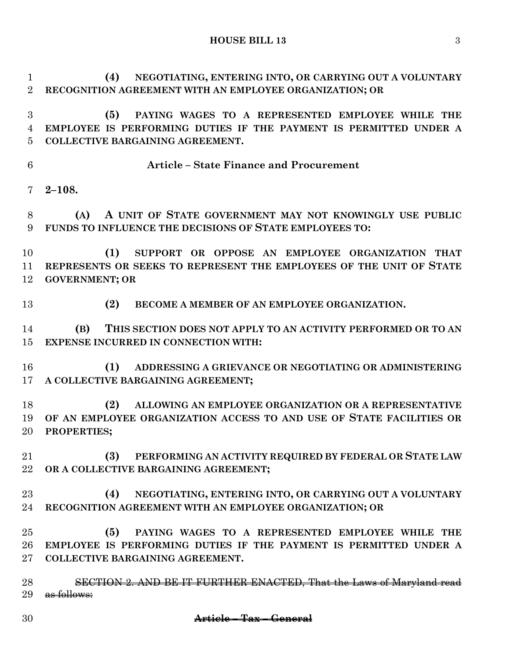**HOUSE BILL 13** 3

 **(4) NEGOTIATING, ENTERING INTO, OR CARRYING OUT A VOLUNTARY RECOGNITION AGREEMENT WITH AN EMPLOYEE ORGANIZATION; OR (5) PAYING WAGES TO A REPRESENTED EMPLOYEE WHILE THE EMPLOYEE IS PERFORMING DUTIES IF THE PAYMENT IS PERMITTED UNDER A** 

**COLLECTIVE BARGAINING AGREEMENT.**

**Article – State Finance and Procurement**

**2–108.**

 **(A) A UNIT OF STATE GOVERNMENT MAY NOT KNOWINGLY USE PUBLIC FUNDS TO INFLUENCE THE DECISIONS OF STATE EMPLOYEES TO:**

 **(1) SUPPORT OR OPPOSE AN EMPLOYEE ORGANIZATION THAT REPRESENTS OR SEEKS TO REPRESENT THE EMPLOYEES OF THE UNIT OF STATE GOVERNMENT; OR**

**(2) BECOME A MEMBER OF AN EMPLOYEE ORGANIZATION.**

 **(B) THIS SECTION DOES NOT APPLY TO AN ACTIVITY PERFORMED OR TO AN EXPENSE INCURRED IN CONNECTION WITH:**

 **(1) ADDRESSING A GRIEVANCE OR NEGOTIATING OR ADMINISTERING A COLLECTIVE BARGAINING AGREEMENT;**

 **(2) ALLOWING AN EMPLOYEE ORGANIZATION OR A REPRESENTATIVE OF AN EMPLOYEE ORGANIZATION ACCESS TO AND USE OF STATE FACILITIES OR PROPERTIES;**

 **(3) PERFORMING AN ACTIVITY REQUIRED BY FEDERAL OR STATE LAW OR A COLLECTIVE BARGAINING AGREEMENT;**

 **(4) NEGOTIATING, ENTERING INTO, OR CARRYING OUT A VOLUNTARY RECOGNITION AGREEMENT WITH AN EMPLOYEE ORGANIZATION; OR**

 **(5) PAYING WAGES TO A REPRESENTED EMPLOYEE WHILE THE EMPLOYEE IS PERFORMING DUTIES IF THE PAYMENT IS PERMITTED UNDER A COLLECTIVE BARGAINING AGREEMENT.**

 SECTION 2. AND BE IT FURTHER ENACTED, That the Laws of Maryland read 29 as follows: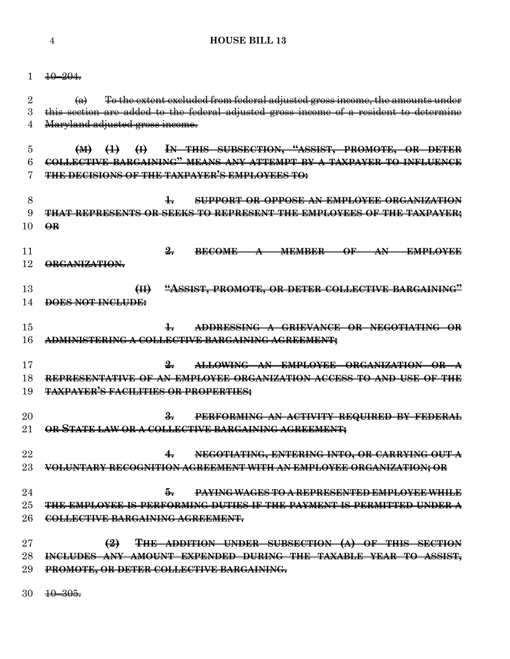**HOUSE BILL 13**

|    | $+0-204$                                                                                                                                         |
|----|--------------------------------------------------------------------------------------------------------------------------------------------------|
|    |                                                                                                                                                  |
| 2  | To the extent excluded from federal adjusted gross income, the amounts under<br>$\left( \Theta \right)$                                          |
| 3  | this section are added to the federal adjusted gross income of a resident to determine                                                           |
| 4  | Maryland adjusted gross income.                                                                                                                  |
|    |                                                                                                                                                  |
| 5  | (M) (1) (I) IN THIS SUBSECTION, "ASSIST, PROMOTE, OR DETER                                                                                       |
| 6  | COLLECTIVE BARGAINING" MEANS ANY ATTEMPT BY A TAXPAYER TO INFLUENCE                                                                              |
| 7  | <del>THE DECISIONS OF THE TAXPAYER'S EMPLOYEES TO:</del>                                                                                         |
|    |                                                                                                                                                  |
| 8  | $\pm$<br><b>SUPPORT OR OPPOSE AN EMPLOYEE ORGANIZATION</b>                                                                                       |
| 9  | OR SEEKS TO REPRESENT THE EMPLOYEES OF THE TAXPAYER;                                                                                             |
| 10 | $\Theta$ <sub>R</sub>                                                                                                                            |
|    |                                                                                                                                                  |
| 11 | $\frac{9}{2}$<br><b>BECOME</b><br><del>MEMBER -</del><br>$\overline{\Theta}$ F<br>$\mathbf{A}\mathbf{N}$<br>EMPLOYEE<br>$\overline{\phantom{a}}$ |
| 12 | ORGANIZATION.                                                                                                                                    |
|    |                                                                                                                                                  |
| 13 | "ASSIST, PROMOTE, OR DETER COLLECTIVE BARGAINING"<br>H                                                                                           |
| 14 | DOES NOT INCLUDE:                                                                                                                                |
|    |                                                                                                                                                  |
| 15 | $\pm$<br>ADDRESSING A GRIEVANCE OR NEGOTIATING OR                                                                                                |
| 16 | <del>ADMINISTERING A COLLECTIVE BARGAINING AGREEMENT;</del>                                                                                      |
|    |                                                                                                                                                  |
| 17 | ALLOWING AN EMPLOYEE ORGANIZATION OR                                                                                                             |
| 18 | REPRESENTATIVE OF AN EMPLOYEE ORGANIZATION ACCESS TO AND USE OF THE                                                                              |
| 19 | <b>TAXPAYER'S FACILITIES OR PROPERTIES;</b>                                                                                                      |
|    |                                                                                                                                                  |
| 20 | $\frac{3}{2}$<br>PERFORMING AN ACTIVITY REQUIRED BY FEDERAL                                                                                      |
| 21 | OR STATE LAW OR A COLLECTIVE BARGAINING AGREEMENT;                                                                                               |
|    |                                                                                                                                                  |
| 22 | NEGOTIATING, ENTERING INTO, OR CARRYING OUT A<br>4.                                                                                              |
| 23 | VOLUNTARY RECOGNITION AGREEMENT WITH AN EMPLOYEE ORGANIZATION; OR                                                                                |
|    |                                                                                                                                                  |
| 24 | 5.<br>PAYING WAGES TO A REPRESENTED EMPLOYEE WHILE                                                                                               |
| 25 | THE EMPLOYEE IS PERFORMING DUTIES IF THE PAYMENT IS PERMITTED UNDER A                                                                            |
| 26 | COLLECTIVE BARGAINING AGREEMENT.                                                                                                                 |
|    |                                                                                                                                                  |
| 27 | $\bigoplus$<br>THE ADDITION UNDER SUBSECTION (A) OF THIS SECTION                                                                                 |
| 28 | INCLUDES ANY AMOUNT EXPENDED DURING THE TAXABLE YEAR TO ASSIST,                                                                                  |
| 29 | PROMOTE, OR DETER COLLECTIVE BARGAINING.                                                                                                         |
|    |                                                                                                                                                  |
| 30 | $\frac{10 - 305}{10}$                                                                                                                            |